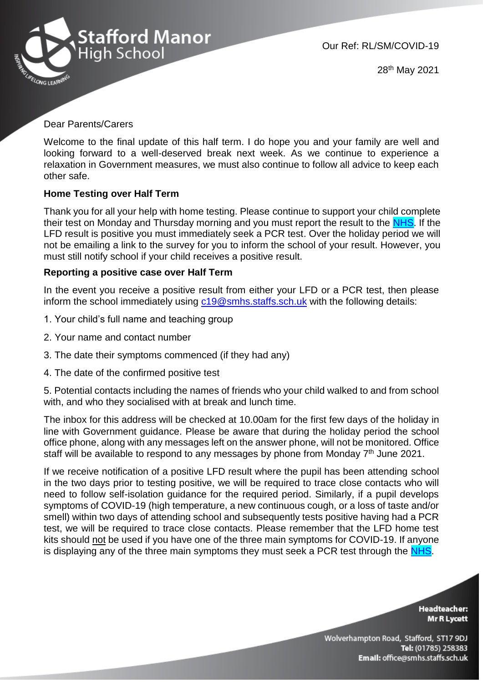

28th May 2021

## Dear Parents/Carers

Welcome to the final update of this half term. I do hope you and your family are well and looking forward to a well-deserved break next week. As we continue to experience a relaxation in Government measures, we must also continue to follow all advice to keep each other safe.

## **Home Testing over Half Term**

Thank you for all your help with home testing. Please continue to support your child complete their test on Monday and Thursday morning and you must report the result to the [NHS.](https://www.gov.uk/report-covid19-result?utm_source=26%20March%202021%20C19&utm_medium=Daily%20Email%20C19&utm_campaign=DfE%20C19) If the LFD result is positive you must immediately seek a PCR test. Over the holiday period we will not be emailing a link to the survey for you to inform the school of your result. However, you must still notify school if your child receives a positive result.

## **Reporting a positive case over Half Term**

In the event you receive a positive result from either your LFD or a PCR test, then please inform the school immediately using  $c19@smbs.staffs.sch.uk$  with the following details:

- 1. Your child's full name and teaching group
- 2. Your name and contact number
- 3. The date their symptoms commenced (if they had any)
- 4. The date of the confirmed positive test

5. Potential contacts including the names of friends who your child walked to and from school with, and who they socialised with at break and lunch time.

The inbox for this address will be checked at 10.00am for the first few days of the holiday in line with Government guidance. Please be aware that during the holiday period the school office phone, along with any messages left on the answer phone, will not be monitored. Office staff will be available to respond to any messages by phone from Monday 7<sup>th</sup> June 2021.

If we receive notification of a positive LFD result where the pupil has been attending school in the two days prior to testing positive, we will be required to trace close contacts who will need to follow self-isolation guidance for the required period. Similarly, if a pupil develops symptoms of COVID-19 (high temperature, a new continuous cough, or a loss of taste and/or smell) within two days of attending school and subsequently tests positive having had a PCR test, we will be required to trace close contacts. Please remember that the LFD home test kits should not be used if you have one of the three main symptoms for COVID-19. If anyone is displaying any of the three main symptoms they must seek a PCR test through the [NHS.](https://www.gov.uk/get-coronavirus-test)

> **Headteacher: Mr R Lycett**

Wolverhampton Road, Stafford, ST17 9DJ Tel: (01785) 258383 Email: office@smhs.staffs.sch.uk